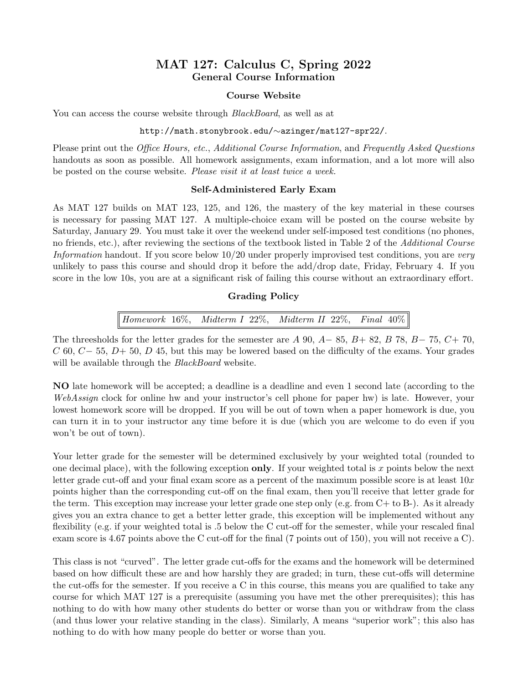# MAT 127: Calculus C, Spring 2022 General Course Information

## Course Website

You can access the course website through *BlackBoard*, as well as at

### http://math.stonybrook.edu/∼azinger/mat127-spr22/.

Please print out the *Office Hours, etc., Additional Course Information*, and *Frequently Asked Questions* handouts as soon as possible. All homework assignments, exam information, and a lot more will also be posted on the course website. Please visit it at least twice a week.

## Self-Administered Early Exam

As MAT 127 builds on MAT 123, 125, and 126, the mastery of the key material in these courses is necessary for passing MAT 127. A multiple-choice exam will be posted on the course website by Saturday, January 29. You must take it over the weekend under self-imposed test conditions (no phones, no friends, etc.), after reviewing the sections of the textbook listed in Table 2 of the Additional Course Information handout. If you score below 10/20 under properly improvised test conditions, you are very unlikely to pass this course and should drop it before the add/drop date, Friday, February 4. If you score in the low 10s, you are at a significant risk of failing this course without an extraordinary effort.

## Grading Policy

Homework 16%, Midterm I 22%, Midterm II 22%, Final 40%

The threesholds for the letter grades for the semester are A 90, A– 85, B+ 82, B 78, B– 75, C+ 70,  $C$  60,  $C-$  55,  $D+$  50,  $D$  45, but this may be lowered based on the difficulty of the exams. Your grades will be available through the *BlackBoard* website.

NO late homework will be accepted; a deadline is a deadline and even 1 second late (according to the WebAssign clock for online hw and your instructor's cell phone for paper hw) is late. However, your lowest homework score will be dropped. If you will be out of town when a paper homework is due, you can turn it in to your instructor any time before it is due (which you are welcome to do even if you won't be out of town).

Your letter grade for the semester will be determined exclusively by your weighted total (rounded to one decimal place), with the following exception **only**. If your weighted total is x points below the next letter grade cut-off and your final exam score as a percent of the maximum possible score is at least  $10x$ points higher than the corresponding cut-off on the final exam, then you'll receive that letter grade for the term. This exception may increase your letter grade one step only (e.g. from C+ to B-). As it already gives you an extra chance to get a better letter grade, this exception will be implemented without any flexibility (e.g. if your weighted total is .5 below the C cut-off for the semester, while your rescaled final exam score is 4.67 points above the C cut-off for the final (7 points out of 150), you will not receive a C).

This class is not "curved". The letter grade cut-offs for the exams and the homework will be determined based on how difficult these are and how harshly they are graded; in turn, these cut-offs will determine the cut-offs for the semester. If you receive a C in this course, this means you are qualified to take any course for which MAT 127 is a prerequisite (assuming you have met the other prerequisites); this has nothing to do with how many other students do better or worse than you or withdraw from the class (and thus lower your relative standing in the class). Similarly, A means "superior work"; this also has nothing to do with how many people do better or worse than you.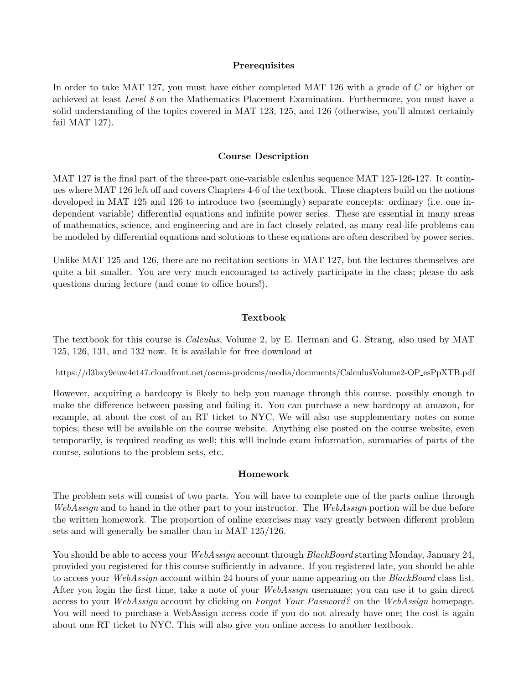## **Prerequisites**

In order to take MAT 127, you must have either completed MAT 126 with a grade of C or higher or achieved at least Level 8 on the Mathematics Placement Examination. Furthermore, you must have a solid understanding of the topics covered in MAT 123, 125, and 126 (otherwise, you'll almost certainly fail MAT 127).

#### Course Description

MAT 127 is the final part of the three-part one-variable calculus sequence MAT 125-126-127. It continues where MAT 126 left off and covers Chapters 4-6 of the textbook. These chapters build on the notions developed in MAT 125 and 126 to introduce two (seemingly) separate concepts: ordinary (i.e. one independent variable) differential equations and infinite power series. These are essential in many areas of mathematics, science, and engineering and are in fact closely related, as many real-life problems can be modeled by differential equations and solutions to these equations are often described by power series.

Unlike MAT 125 and 126, there are no recitation sections in MAT 127, but the lectures themselves are quite a bit smaller. You are very much encouraged to actively participate in the class; please do ask questions during lecture (and come to office hours!).

#### Textbook

The textbook for this course is Calculus, Volume 2, by E. Herman and G. Strang, also used by MAT 125, 126, 131, and 132 now. It is available for free download at

https://d3bxy9euw4e147.cloudfront.net/oscms-prodcms/media/documents/CalculusVolume2-OP esPpXTB.pdf

However, acquiring a hardcopy is likely to help you manage through this course, possibly enough to make the difference between passing and failing it. You can purchase a new hardcopy at amazon, for example, at about the cost of an RT ticket to NYC. We will also use supplementary notes on some topics; these will be available on the course website. Anything else posted on the course website, even temporarily, is required reading as well; this will include exam information, summaries of parts of the course, solutions to the problem sets, etc.

#### Homework

The problem sets will consist of two parts. You will have to complete one of the parts online through WebAssign and to hand in the other part to your instructor. The WebAssign portion will be due before the written homework. The proportion of online exercises may vary greatly between different problem sets and will generally be smaller than in MAT 125/126.

You should be able to access your WebAssign account through BlackBoard starting Monday, January 24, provided you registered for this course sufficiently in advance. If you registered late, you should be able to access your *WebAssign* account within 24 hours of your name appearing on the *BlackBoard* class list. After you login the first time, take a note of your *WebAssign* username; you can use it to gain direct access to your WebAssign account by clicking on Forgot Your Password? on the WebAssign homepage. You will need to purchase a WebAssign access code if you do not already have one; the cost is again about one RT ticket to NYC. This will also give you online access to another textbook.